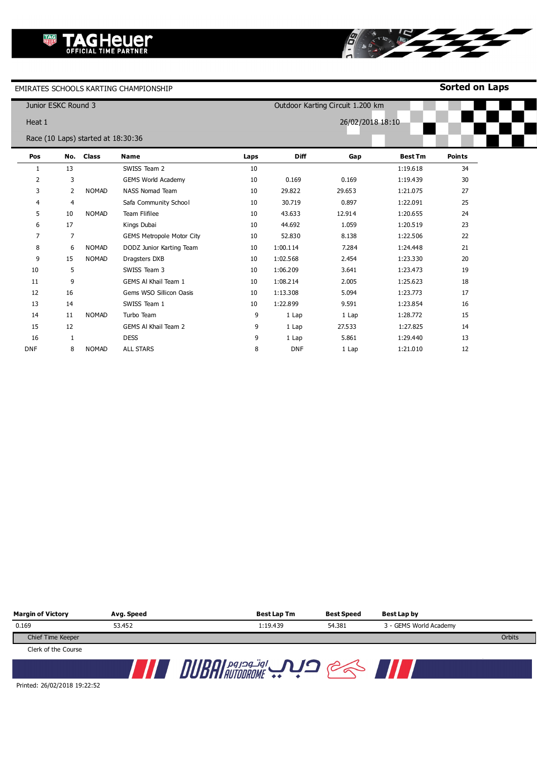**Sorted on Laps**

|            | Junior ESKC Round 3 |                                    |                                  |      |                  | Outdoor Karting Circuit 1.200 km |                |               |  |
|------------|---------------------|------------------------------------|----------------------------------|------|------------------|----------------------------------|----------------|---------------|--|
| Heat 1     |                     |                                    |                                  |      | 26/02/2018 18:10 |                                  |                |               |  |
|            |                     | Race (10 Laps) started at 18:30:36 |                                  |      |                  |                                  |                |               |  |
| Pos        |                     | No. Class                          | <b>Name</b>                      | Laps | <b>Diff</b>      | Gap                              | <b>Best Tm</b> | <b>Points</b> |  |
| 1          | 13                  |                                    | SWISS Team 2                     | 10   |                  |                                  | 1:19.618       | 34            |  |
| 2          | 3                   |                                    | <b>GEMS World Academy</b>        | 10   | 0.169            | 0.169                            | 1:19.439       | 30            |  |
| 3          | 2                   | <b>NOMAD</b>                       | <b>NASS Nomad Team</b>           | 10   | 29.822           | 29.653                           | 1:21.075       | 27            |  |
| 4          | 4                   |                                    | Safa Community School            | 10   | 30.719           | 0.897                            | 1:22.091       | 25            |  |
| 5          | 10                  | <b>NOMAD</b>                       | <b>Team Flifilee</b>             | 10   | 43.633           | 12.914                           | 1:20.655       | 24            |  |
| 6          | 17                  |                                    | Kings Dubai                      | 10   | 44.692           | 1.059                            | 1:20.519       | 23            |  |
| 7          | 7                   |                                    | <b>GEMS Metropole Motor City</b> | 10   | 52.830           | 8.138                            | 1:22.506       | 22            |  |
| 8          | 6                   | <b>NOMAD</b>                       | DODZ Junior Karting Team         | 10   | 1:00.114         | 7.284                            | 1:24.448       | 21            |  |
| 9          | 15                  | <b>NOMAD</b>                       | Dragsters DXB                    | 10   | 1:02.568         | 2.454                            | 1:23.330       | 20            |  |
| 10         | 5                   |                                    | SWISS Team 3                     | 10   | 1:06.209         | 3.641                            | 1:23.473       | 19            |  |
| 11         | 9                   |                                    | GEMS AI Khail Team 1             | 10   | 1:08.214         | 2.005                            | 1:25.623       | 18            |  |
| 12         | 16                  |                                    | Gems WSO Sillicon Oasis          | 10   | 1:13.308         | 5.094                            | 1:23.773       | 17            |  |
| 13         | 14                  |                                    | SWISS Team 1                     | 10   | 1:22.899         | 9.591                            | 1:23.854       | 16            |  |
| 14         | 11                  | <b>NOMAD</b>                       | Turbo Team                       | 9    | 1 Lap            | 1 Lap                            | 1:28.772       | 15            |  |
| 15         | 12                  |                                    | <b>GEMS AI Khail Team 2</b>      | 9    | 1 Lap            | 27.533                           | 1:27.825       | 14            |  |
| 16         | 1                   |                                    | <b>DESS</b>                      | 9    | 1 Lap            | 5.861                            | 1:29.440       | 13            |  |
| <b>DNF</b> | 8                   | <b>NOMAD</b>                       | <b>ALL STARS</b>                 | 8    | <b>DNF</b>       | 1 Lap                            | 1:21.010       | 12            |  |

8

| <b>Margin of Victory</b> | Avg. Speed | Best Lap Tm | <b>Best Speed</b> | <b>Best Lap by</b>     |        |
|--------------------------|------------|-------------|-------------------|------------------------|--------|
| 0.169                    | 53.452     | 1:19.439    | 54.381            | 3 - GEMS World Academy |        |
| Chief Time Keeper        |            |             |                   |                        | Orbits |
| Clerk of the Course      |            |             |                   |                        |        |
|                          |            | اوتودروم    |                   |                        |        |

Printed: 26/02/2018 19:22:52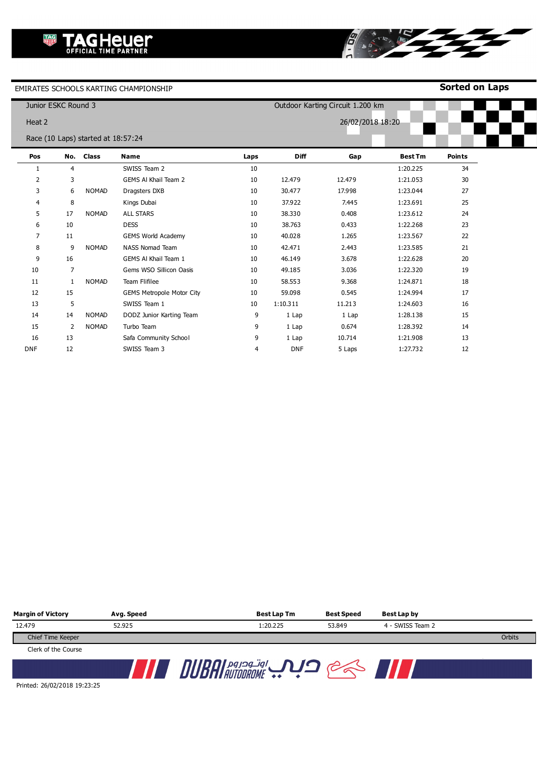**Sorted on Laps**

|                | Junior ESKC Round 3 |                                    |                                  |      |            | Outdoor Karting Circuit 1.200 km |                |               |
|----------------|---------------------|------------------------------------|----------------------------------|------|------------|----------------------------------|----------------|---------------|
| Heat 2         |                     |                                    |                                  |      |            | 26/02/2018 18:20                 |                |               |
|                |                     | Race (10 Laps) started at 18:57:24 |                                  |      |            |                                  |                |               |
| Pos            |                     | No. Class                          | <b>Name</b>                      | Laps | Diff       | Gap                              | <b>Best Tm</b> | <b>Points</b> |
| 1              | $\overline{4}$      |                                    | SWISS Team 2                     | 10   |            |                                  | 1:20.225       | 34            |
| $\overline{2}$ | 3                   |                                    | GEMS Al Khail Team 2             | 10   | 12.479     | 12.479                           | 1:21.053       | 30            |
| 3              | 6                   | <b>NOMAD</b>                       | Dragsters DXB                    | 10   | 30.477     | 17.998                           | 1:23.044       | 27            |
| 4              | 8                   |                                    | Kings Dubai                      | 10   | 37.922     | 7.445                            | 1:23.691       | 25            |
| 5              | 17                  | <b>NOMAD</b>                       | <b>ALL STARS</b>                 | 10   | 38.330     | 0.408                            | 1:23.612       | 24            |
| 6              | 10                  |                                    | <b>DESS</b>                      | 10   | 38.763     | 0.433                            | 1:22.268       | 23            |
| 7              | 11                  |                                    | <b>GEMS World Academy</b>        | 10   | 40.028     | 1.265                            | 1:23.567       | 22            |
| 8              | 9                   | <b>NOMAD</b>                       | <b>NASS Nomad Team</b>           | 10   | 42.471     | 2.443                            | 1:23.585       | 21            |
| 9              | 16                  |                                    | GEMS AI Khail Team 1             | 10   | 46.149     | 3.678                            | 1:22.628       | 20            |
| 10             | $\overline{7}$      |                                    | Gems WSO Sillicon Oasis          | 10   | 49.185     | 3.036                            | 1:22.320       | 19            |
| 11             | $\mathbf{1}$        | <b>NOMAD</b>                       | Team Flifilee                    | 10   | 58.553     | 9.368                            | 1:24.871       | 18            |
| 12             | 15                  |                                    | <b>GEMS Metropole Motor City</b> | 10   | 59.098     | 0.545                            | 1:24.994       | 17            |
| 13             | 5                   |                                    | SWISS Team 1                     | 10   | 1:10.311   | 11.213                           | 1:24.603       | 16            |
| 14             | 14                  | <b>NOMAD</b>                       | DODZ Junior Karting Team         | 9    | 1 Lap      | 1 Lap                            | 1:28.138       | 15            |
| 15             | $\overline{2}$      | <b>NOMAD</b>                       | Turbo Team                       | 9    | 1 Lap      | 0.674                            | 1:28.392       | 14            |
| 16             | 13                  |                                    | Safa Community School            | 9    | 1 Lap      | 10.714                           | 1:21.908       | 13            |
| <b>DNF</b>     | 12                  |                                    | SWISS Team 3                     | 4    | <b>DNF</b> | 5 Laps                           | 1:27.732       | 12            |

8

| <b>Margin of Victory</b> | Avg. Speed | Best Lap Tm | <b>Best Speed</b> | Best Lap by      |        |
|--------------------------|------------|-------------|-------------------|------------------|--------|
| 12.479                   | 52.925     | 1:20.225    | 53.849            | 4 - SWISS Team 2 |        |
| Chief Time Keeper        |            |             |                   |                  | Orbits |
| Clerk of the Course      |            |             |                   |                  |        |
|                          |            | اوتودروم    |                   |                  |        |

Printed: 26/02/2018 19:23:25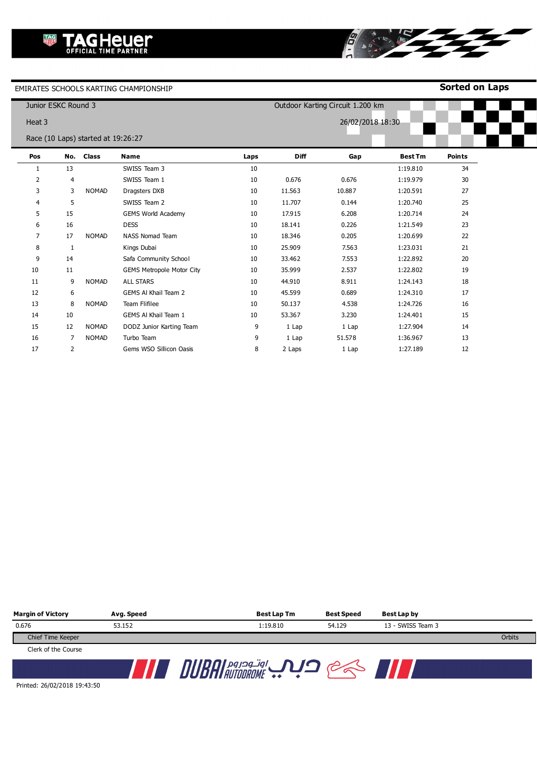**Sorted on Laps**

|        | Junior ESKC Round 3 |                                    |                                  |      |                  | Outdoor Karting Circuit 1.200 km |                |               |
|--------|---------------------|------------------------------------|----------------------------------|------|------------------|----------------------------------|----------------|---------------|
| Heat 3 |                     |                                    |                                  |      | 26/02/2018 18:30 |                                  |                |               |
|        |                     | Race (10 Laps) started at 19:26:27 |                                  |      |                  |                                  |                |               |
| Pos    |                     | No. Class                          | <b>Name</b>                      | Laps | <b>Diff</b>      | Gap                              | <b>Best Tm</b> | <b>Points</b> |
| 1      | 13                  |                                    | SWISS Team 3                     | 10   |                  |                                  | 1:19.810       | 34            |
| 2      | $\overline{4}$      |                                    | SWISS Team 1                     | 10   | 0.676            | 0.676                            | 1:19.979       | 30            |
| 3      | 3                   | <b>NOMAD</b>                       | Dragsters DXB                    | 10   | 11.563           | 10.887                           | 1:20.591       | 27            |
| 4      | 5                   |                                    | SWISS Team 2                     | 10   | 11.707           | 0.144                            | 1:20.740       | 25            |
| 5      | 15                  |                                    | <b>GEMS World Academy</b>        | 10   | 17.915           | 6.208                            | 1:20.714       | 24            |
| 6      | 16                  |                                    | <b>DESS</b>                      | 10   | 18.141           | 0.226                            | 1:21.549       | 23            |
| 7      | 17                  | <b>NOMAD</b>                       | <b>NASS Nomad Team</b>           | 10   | 18.346           | 0.205                            | 1:20.699       | 22            |
| 8      | 1                   |                                    | Kings Dubai                      | 10   | 25.909           | 7.563                            | 1:23.031       | 21            |
| 9      | 14                  |                                    | Safa Community School            | 10   | 33.462           | 7.553                            | 1:22.892       | 20            |
| 10     | 11                  |                                    | <b>GEMS Metropole Motor City</b> | 10   | 35.999           | 2.537                            | 1:22.802       | 19            |
| 11     | 9                   | <b>NOMAD</b>                       | <b>ALL STARS</b>                 | 10   | 44.910           | 8.911                            | 1:24.143       | 18            |
| 12     | 6                   |                                    | GEMS AI Khail Team 2             | 10   | 45.599           | 0.689                            | 1:24.310       | 17            |
| 13     | 8                   | <b>NOMAD</b>                       | <b>Team Flifilee</b>             | 10   | 50.137           | 4.538                            | 1:24.726       | 16            |
| 14     | 10                  |                                    | GEMS AI Khail Team 1             | 10   | 53.367           | 3.230                            | 1:24.401       | 15            |
| 15     | 12                  | <b>NOMAD</b>                       | DODZ Junior Karting Team         | 9    | 1 Lap            | 1 Lap                            | 1:27.904       | 14            |
| 16     | 7                   | <b>NOMAD</b>                       | Turbo Team                       | 9    | 1 Lap            | 51.578                           | 1:36.967       | 13            |
| 17     | $\overline{2}$      |                                    | Gems WSO Sillicon Oasis          | 8    | 2 Laps           | 1 Lap                            | 1:27.189       | 12            |

8

| <b>Margin of Victory</b> | Avg. Speed | <b>Best Lap Tm</b> | <b>Best Speed</b> | Best Lap by       |        |
|--------------------------|------------|--------------------|-------------------|-------------------|--------|
| 0.676                    | 53.152     | 1:19.810           | 54.129            | 13 - SWISS Team 3 |        |
| Chief Time Keeper        |            |                    |                   |                   | Orbits |
| Clerk of the Course      |            |                    |                   |                   |        |
|                          |            |                    |                   |                   |        |

Printed: 26/02/2018 19:43:50